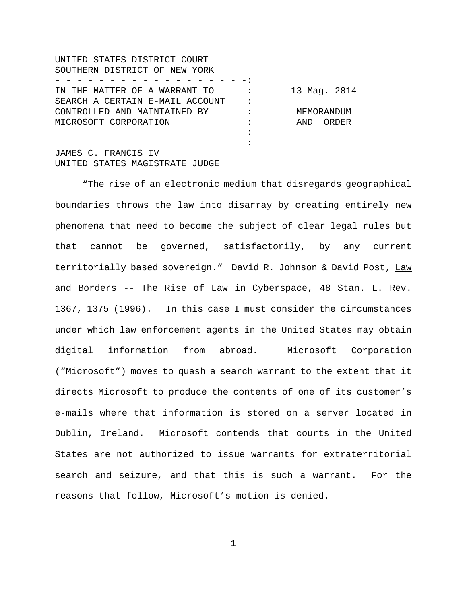UNITED STATES DISTRICT COURT SOUTHERN DISTRICT OF NEW YORK - - - - - - - - - - - - - - - - - -: IN THE MATTER OF A WARRANT TO : 13 Mag. 2814 SEARCH A CERTAIN E-MAIL ACCOUNT : CONTROLLED AND MAINTAINED BY : MEMORANDUM MICROSOFT CORPORATION : AND ORDER : - - - - - - - - - - - - - - - - - -:

JAMES C. FRANCIS IV UNITED STATES MAGISTRATE JUDGE

"The rise of an electronic medium that disregards geographical boundaries throws the law into disarray by creating entirely new phenomena that need to become the subject of clear legal rules but that cannot be governed, satisfactorily, by any current territorially based sovereign." David R. Johnson & David Post, Law and Borders -- The Rise of Law in Cyberspace, 48 Stan. L. Rev. 1367, 1375 (1996). In this case I must consider the circumstances under which law enforcement agents in the United States may obtain digital information from abroad. Microsoft Corporation ("Microsoft") moves to quash a search warrant to the extent that it directs Microsoft to produce the contents of one of its customer's e-mails where that information is stored on a server located in Dublin, Ireland. Microsoft contends that courts in the United States are not authorized to issue warrants for extraterritorial search and seizure, and that this is such a warrant. For the reasons that follow, Microsoft's motion is denied.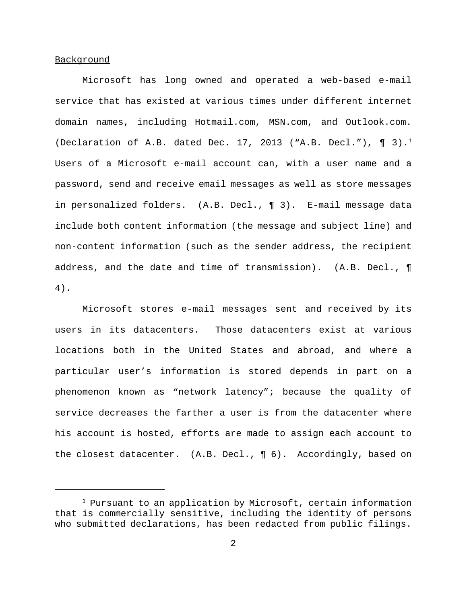#### Background

Microsoft has long owned and operated a web-based e-mail service that has existed at various times under different internet domain names, including Hotmail.com, MSN.com, and Outlook.com. (Declaration of A.B. dated Dec. 17, 2013 ("A.B. Decl."),  $\P(3).$ <sup>1</sup> Users of a Microsoft e-mail account can, with a user name and a password, send and receive email messages as well as store messages in personalized folders. (A.B. Decl., ¶ 3). E-mail message data include both content information (the message and subject line) and non-content information (such as the sender address, the recipient address, and the date and time of transmission). (A.B. Decl., ¶ 4).

 Microsoft stores e-mail messages sent and received by its users in its datacenters. Those datacenters exist at various locations both in the United States and abroad, and where a particular user's information is stored depends in part on a phenomenon known as "network latency"; because the quality of service decreases the farther a user is from the datacenter where his account is hosted, efforts are made to assign each account to the closest datacenter. (A.B. Decl., ¶ 6). Accordingly, based on

<sup>1</sup> Pursuant to an application by Microsoft, certain information that is commercially sensitive, including the identity of persons who submitted declarations, has been redacted from public filings.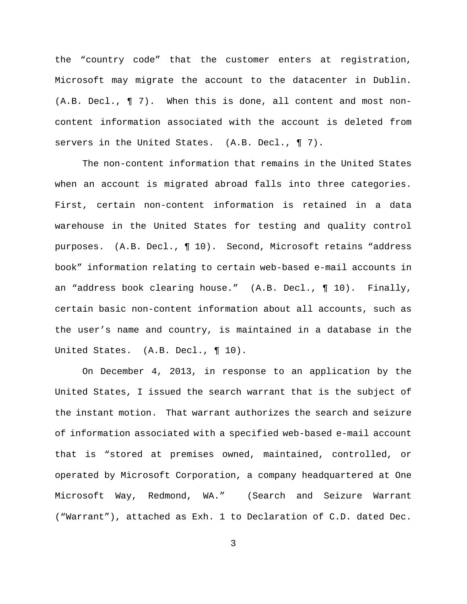the "country code" that the customer enters at registration, Microsoft may migrate the account to the datacenter in Dublin. (A.B. Decl., ¶ 7). When this is done, all content and most noncontent information associated with the account is deleted from servers in the United States. (A.B. Decl., ¶ 7).

The non-content information that remains in the United States when an account is migrated abroad falls into three categories. First, certain non-content information is retained in a data warehouse in the United States for testing and quality control purposes. (A.B. Decl., ¶ 10). Second, Microsoft retains "address book" information relating to certain web-based e-mail accounts in an "address book clearing house." (A.B. Decl., ¶ 10). Finally, certain basic non-content information about all accounts, such as the user's name and country, is maintained in a database in the United States. (A.B. Decl., ¶ 10).

On December 4, 2013, in response to an application by the United States, I issued the search warrant that is the subject of the instant motion. That warrant authorizes the search and seizure of information associated with a specified web-based e-mail account that is "stored at premises owned, maintained, controlled, or operated by Microsoft Corporation, a company headquartered at One Microsoft Way, Redmond, WA." (Search and Seizure Warrant ("Warrant"), attached as Exh. 1 to Declaration of C.D. dated Dec.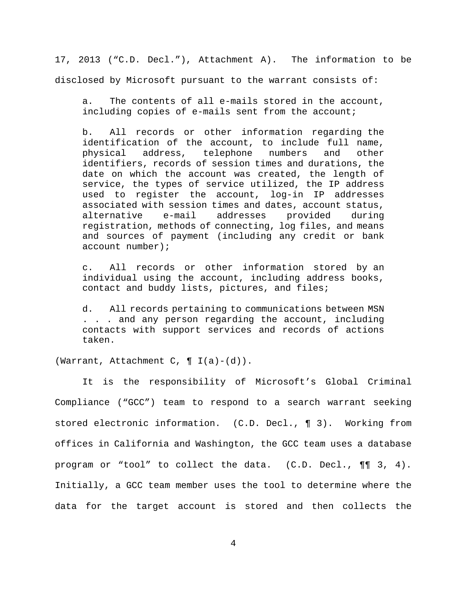17, 2013 ("C.D. Decl."), Attachment A). The information to be disclosed by Microsoft pursuant to the warrant consists of:

a. The contents of all e-mails stored in the account, including copies of e-mails sent from the account;

b. All records or other information regarding the identification of the account, to include full name, physical address, telephone numbers and other identifiers, records of session times and durations, the date on which the account was created, the length of service, the types of service utilized, the IP address used to register the account, log-in IP addresses associated with session times and dates, account status, alternative e-mail addresses provided during registration, methods of connecting, log files, and means and sources of payment (including any credit or bank account number);

c. All records or other information stored by an individual using the account, including address books, contact and buddy lists, pictures, and files;

d. All records pertaining to communications between MSN . . . and any person regarding the account, including contacts with support services and records of actions taken.

(Warrant, Attachment C,  $\P$  I(a)-(d)).

It is the responsibility of Microsoft's Global Criminal Compliance ("GCC") team to respond to a search warrant seeking stored electronic information. (C.D. Decl., ¶ 3). Working from offices in California and Washington, the GCC team uses a database program or "tool" to collect the data. (C.D. Decl., ¶¶ 3, 4). Initially, a GCC team member uses the tool to determine where the data for the target account is stored and then collects the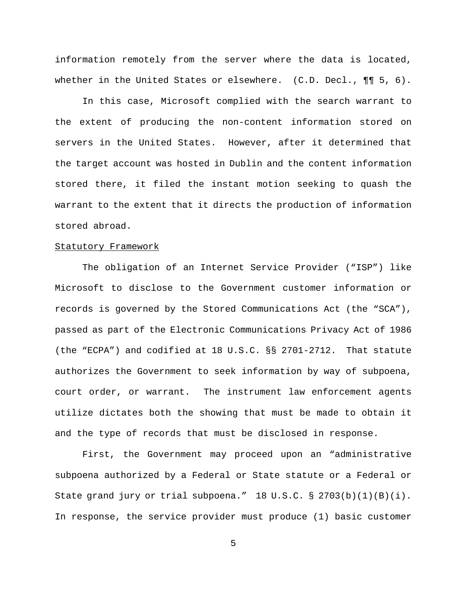information remotely from the server where the data is located, whether in the United States or elsewhere.  $(C.D. Decl., \P\P S, 6)$ .

In this case, Microsoft complied with the search warrant to the extent of producing the non-content information stored on servers in the United States. However, after it determined that the target account was hosted in Dublin and the content information stored there, it filed the instant motion seeking to quash the warrant to the extent that it directs the production of information stored abroad.

### Statutory Framework

The obligation of an Internet Service Provider ("ISP") like Microsoft to disclose to the Government customer information or records is governed by the Stored Communications Act (the "SCA"), passed as part of the Electronic Communications Privacy Act of 1986 (the "ECPA") and codified at 18 U.S.C. §§ 2701-2712. That statute authorizes the Government to seek information by way of subpoena, court order, or warrant. The instrument law enforcement agents utilize dictates both the showing that must be made to obtain it and the type of records that must be disclosed in response.

First, the Government may proceed upon an "administrative subpoena authorized by a Federal or State statute or a Federal or State grand jury or trial subpoena."  $18 \text{ U.S.C.}$   $\frac{8}{2703(b)(1)(B)(i)}$ . In response, the service provider must produce (1) basic customer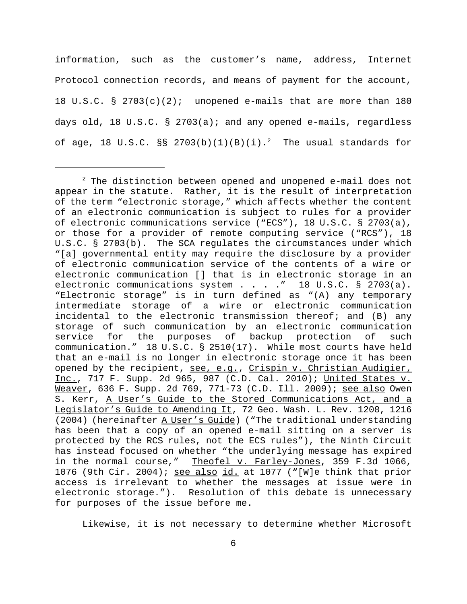information, such as the customer's name, address, Internet Protocol connection records, and means of payment for the account, 18 U.S.C. § 2703(c)(2); unopened e-mails that are more than 180 days old, 18 U.S.C. § 2703(a); and any opened e-mails, regardless of age, 18 U.S.C. §§  $2703(b)(1)(B)(i).<sup>2</sup>$  The usual standards for

Likewise, it is not necessary to determine whether Microsoft

 $2$  The distinction between opened and unopened e-mail does not appear in the statute. Rather, it is the result of interpretation of the term "electronic storage," which affects whether the content of an electronic communication is subject to rules for a provider of electronic communications service ("ECS"), 18 U.S.C. § 2703(a), or those for a provider of remote computing service ("RCS"), 18 U.S.C. § 2703(b). The SCA regulates the circumstances under which "[a] governmental entity may require the disclosure by a provider of electronic communication service of the contents of a wire or electronic communication [] that is in electronic storage in an electronic communications system . . . . " 18 U.S.C. § 2703(a). "Electronic storage" is in turn defined as "(A) any temporary intermediate storage of a wire or electronic communication incidental to the electronic transmission thereof; and (B) any storage of such communication by an electronic communication service for the purposes of backup protection of such communication." 18 U.S.C. § 2510(17). While most courts have held that an e-mail is no longer in electronic storage once it has been opened by the recipient, see, e.g., Crispin v. Christian Audigier, Inc., 717 F. Supp. 2d 965, 987 (C.D. Cal. 2010); United States v. Weaver, 636 F. Supp. 2d 769, 771-73 (C.D. Ill. 2009); see also Owen S. Kerr, A User's Guide to the Stored Communications Act, and a Legislator's Guide to Amending It, 72 Geo. Wash. L. Rev. 1208, 1216 (2004) (hereinafter A User's Guide) ("The traditional understanding has been that a copy of an opened e-mail sitting on a server is protected by the RCS rules, not the ECS rules"), the Ninth Circuit has instead focused on whether "the underlying message has expired in the normal course," Theofel v. Farley-Jones, 359 F.3d 1066, 1076 (9th Cir. 2004); see also id. at 1077 ("[W]e think that prior access is irrelevant to whether the messages at issue were in electronic storage."). Resolution of this debate is unnecessary for purposes of the issue before me.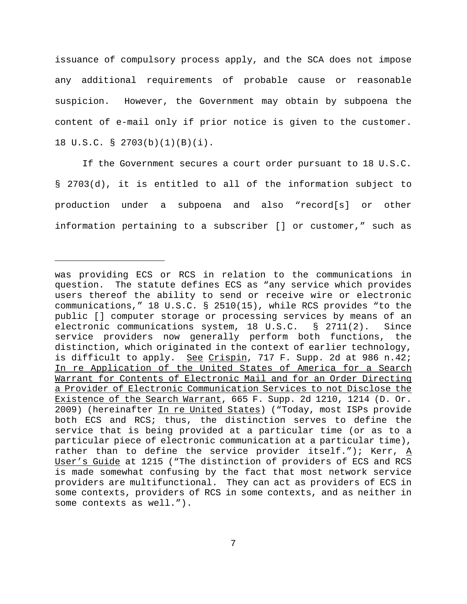issuance of compulsory process apply, and the SCA does not impose any additional requirements of probable cause or reasonable suspicion. However, the Government may obtain by subpoena the content of e-mail only if prior notice is given to the customer. 18 U.S.C. § 2703(b)(1)(B)(i).

If the Government secures a court order pursuant to 18 U.S.C. § 2703(d), it is entitled to all of the information subject to production under a subpoena and also "record[s] or other information pertaining to a subscriber [] or customer," such as

was providing ECS or RCS in relation to the communications in question. The statute defines ECS as "any service which provides users thereof the ability to send or receive wire or electronic communications," 18 U.S.C. § 2510(15), while RCS provides "to the public [] computer storage or processing services by means of an electronic communications system, 18 U.S.C. § 2711(2). Since service providers now generally perform both functions, the distinction, which originated in the context of earlier technology, is difficult to apply. See Crispin, 717 F. Supp. 2d at 986 n.42; In re Application of the United States of America for a Search Warrant for Contents of Electronic Mail and for an Order Directing a Provider of Electronic Communication Services to not Disclose the Existence of the Search Warrant, 665 F. Supp. 2d 1210, 1214 (D. Or. 2009) (hereinafter In re United States) ("Today, most ISPs provide both ECS and RCS; thus, the distinction serves to define the service that is being provided at a particular time (or as to a particular piece of electronic communication at a particular time), rather than to define the service provider itself."); Kerr,  $\underline{A}$ User's Guide at 1215 ("The distinction of providers of ECS and RCS is made somewhat confusing by the fact that most network service providers are multifunctional. They can act as providers of ECS in some contexts, providers of RCS in some contexts, and as neither in some contexts as well.").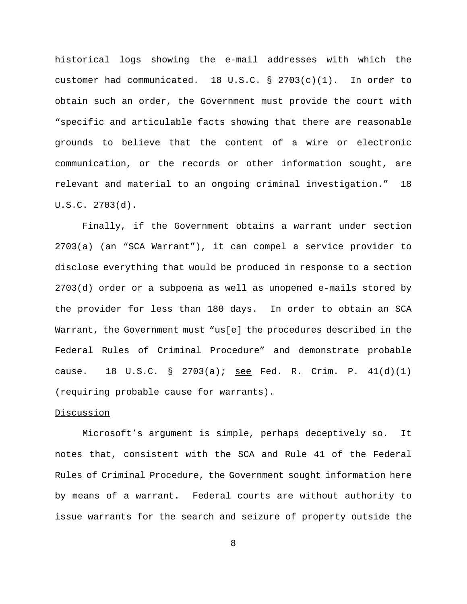historical logs showing the e-mail addresses with which the customer had communicated. 18 U.S.C. § 2703(c)(1). In order to obtain such an order, the Government must provide the court with "specific and articulable facts showing that there are reasonable grounds to believe that the content of a wire or electronic communication, or the records or other information sought, are relevant and material to an ongoing criminal investigation." 18 U.S.C. 2703(d).

Finally, if the Government obtains a warrant under section 2703(a) (an "SCA Warrant"), it can compel a service provider to disclose everything that would be produced in response to a section 2703(d) order or a subpoena as well as unopened e-mails stored by the provider for less than 180 days. In order to obtain an SCA Warrant, the Government must "us[e] the procedures described in the Federal Rules of Criminal Procedure" and demonstrate probable cause. 18 U.S.C. § 2703(a); see Fed. R. Crim. P.  $41(d)(1)$ (requiring probable cause for warrants).

### Discussion

Microsoft's argument is simple, perhaps deceptively so. It notes that, consistent with the SCA and Rule 41 of the Federal Rules of Criminal Procedure, the Government sought information here by means of a warrant. Federal courts are without authority to issue warrants for the search and seizure of property outside the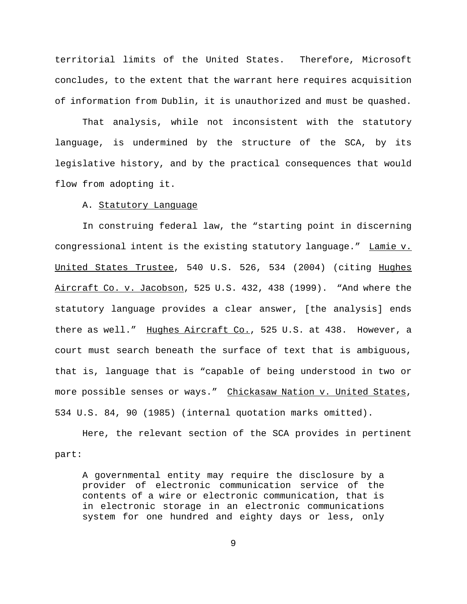territorial limits of the United States. Therefore, Microsoft concludes, to the extent that the warrant here requires acquisition of information from Dublin, it is unauthorized and must be quashed.

That analysis, while not inconsistent with the statutory language, is undermined by the structure of the SCA, by its legislative history, and by the practical consequences that would flow from adopting it.

## A. Statutory Language

In construing federal law, the "starting point in discerning congressional intent is the existing statutory language." Lamie v. United States Trustee, 540 U.S. 526, 534 (2004) (citing Hughes Aircraft Co. v. Jacobson, 525 U.S. 432, 438 (1999). "And where the statutory language provides a clear answer, [the analysis] ends there as well." Hughes Aircraft Co., 525 U.S. at 438. However, a court must search beneath the surface of text that is ambiguous, that is, language that is "capable of being understood in two or more possible senses or ways." Chickasaw Nation v. United States, 534 U.S. 84, 90 (1985) (internal quotation marks omitted).

Here, the relevant section of the SCA provides in pertinent part:

A governmental entity may require the disclosure by a provider of electronic communication service of the contents of a wire or electronic communication, that is in electronic storage in an electronic communications system for one hundred and eighty days or less, only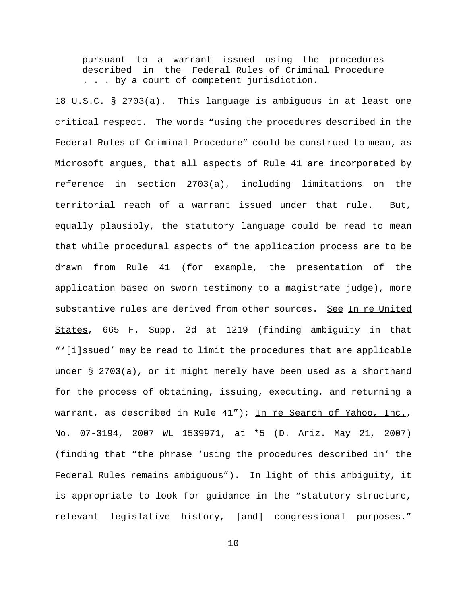pursuant to a warrant issued using the procedures described in the Federal Rules of Criminal Procedure . . . by a court of competent jurisdiction.

18 U.S.C. § 2703(a). This language is ambiguous in at least one critical respect. The words "using the procedures described in the Federal Rules of Criminal Procedure" could be construed to mean, as Microsoft argues, that all aspects of Rule 41 are incorporated by reference in section 2703(a), including limitations on the territorial reach of a warrant issued under that rule. But, equally plausibly, the statutory language could be read to mean that while procedural aspects of the application process are to be drawn from Rule 41 (for example, the presentation of the application based on sworn testimony to a magistrate judge), more substantive rules are derived from other sources. See In re United States, 665 F. Supp. 2d at 1219 (finding ambiguity in that "'[i]ssued' may be read to limit the procedures that are applicable under § 2703(a), or it might merely have been used as a shorthand for the process of obtaining, issuing, executing, and returning a warrant, as described in Rule 41"); In re Search of Yahoo, Inc., No. 07-3194, 2007 WL 1539971, at \*5 (D. Ariz. May 21, 2007) (finding that "the phrase 'using the procedures described in' the Federal Rules remains ambiguous"). In light of this ambiguity, it is appropriate to look for guidance in the "statutory structure, relevant legislative history, [and] congressional purposes."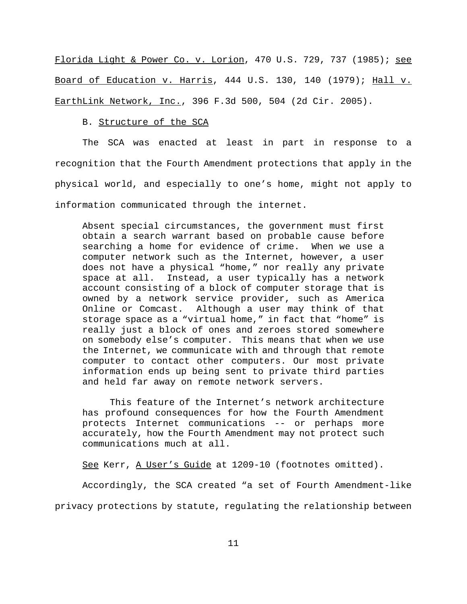Florida Light & Power Co. v. Lorion, 470 U.S. 729, 737 (1985); see Board of Education v. Harris, 444 U.S. 130, 140 (1979); Hall v. EarthLink Network, Inc., 396 F.3d 500, 504 (2d Cir. 2005).

#### B. Structure of the SCA

The SCA was enacted at least in part in response to a recognition that the Fourth Amendment protections that apply in the physical world, and especially to one's home, might not apply to information communicated through the internet.

Absent special circumstances, the government must first obtain a search warrant based on probable cause before searching a home for evidence of crime. When we use a computer network such as the Internet, however, a user does not have a physical "home," nor really any private space at all. Instead, a user typically has a network account consisting of a block of computer storage that is owned by a network service provider, such as America Online or Comcast. Although a user may think of that storage space as a "virtual home," in fact that "home" is really just a block of ones and zeroes stored somewhere on somebody else's computer. This means that when we use the Internet, we communicate with and through that remote computer to contact other computers. Our most private information ends up being sent to private third parties and held far away on remote network servers.

This feature of the Internet's network architecture has profound consequences for how the Fourth Amendment protects Internet communications -- or perhaps more accurately, how the Fourth Amendment may not protect such communications much at all.

See Kerr, A User's Guide at 1209-10 (footnotes omitted).

Accordingly, the SCA created "a set of Fourth Amendment-like

privacy protections by statute, regulating the relationship between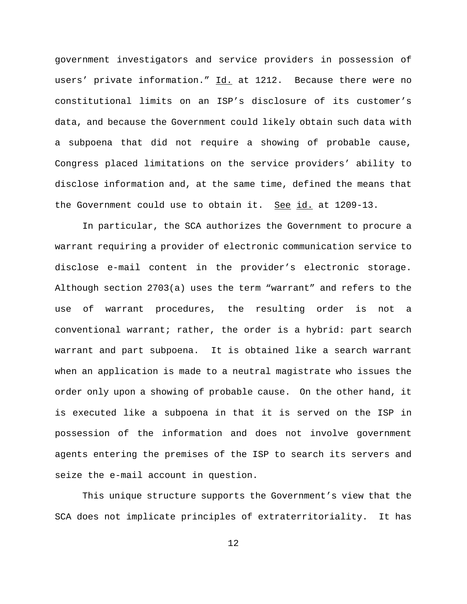government investigators and service providers in possession of users' private information." Id. at 1212. Because there were no constitutional limits on an ISP's disclosure of its customer's data, and because the Government could likely obtain such data with a subpoena that did not require a showing of probable cause, Congress placed limitations on the service providers' ability to disclose information and, at the same time, defined the means that the Government could use to obtain it. See id. at 1209-13.

In particular, the SCA authorizes the Government to procure a warrant requiring a provider of electronic communication service to disclose e-mail content in the provider's electronic storage. Although section 2703(a) uses the term "warrant" and refers to the use of warrant procedures, the resulting order is not a conventional warrant; rather, the order is a hybrid: part search warrant and part subpoena. It is obtained like a search warrant when an application is made to a neutral magistrate who issues the order only upon a showing of probable cause. On the other hand, it is executed like a subpoena in that it is served on the ISP in possession of the information and does not involve government agents entering the premises of the ISP to search its servers and seize the e-mail account in question.

This unique structure supports the Government's view that the SCA does not implicate principles of extraterritoriality. It has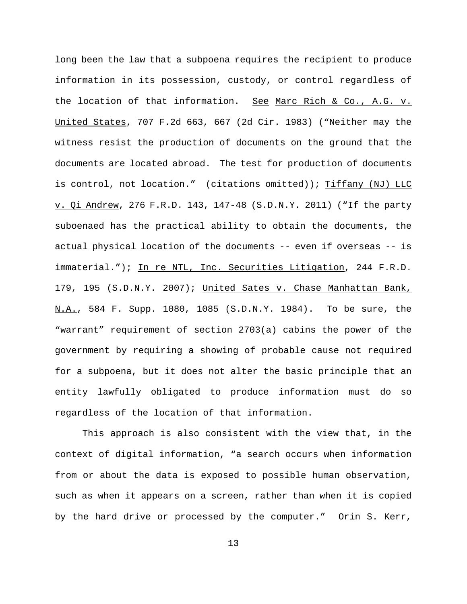long been the law that a subpoena requires the recipient to produce information in its possession, custody, or control regardless of the location of that information. See Marc Rich & Co., A.G. v. United States, 707 F.2d 663, 667 (2d Cir. 1983) ("Neither may the witness resist the production of documents on the ground that the documents are located abroad. The test for production of documents is control, not location." (citations omitted)); Tiffany (NJ) LLC v. Qi Andrew, 276 F.R.D. 143, 147-48 (S.D.N.Y. 2011) ("If the party suboenaed has the practical ability to obtain the documents, the actual physical location of the documents -- even if overseas -- is immaterial."); In re NTL, Inc. Securities Litigation, 244 F.R.D. 179, 195 (S.D.N.Y. 2007); United Sates v. Chase Manhattan Bank, N.A., 584 F. Supp. 1080, 1085 (S.D.N.Y. 1984). To be sure, the "warrant" requirement of section 2703(a) cabins the power of the government by requiring a showing of probable cause not required for a subpoena, but it does not alter the basic principle that an entity lawfully obligated to produce information must do so regardless of the location of that information.

This approach is also consistent with the view that, in the context of digital information, "a search occurs when information from or about the data is exposed to possible human observation, such as when it appears on a screen, rather than when it is copied by the hard drive or processed by the computer." Orin S. Kerr,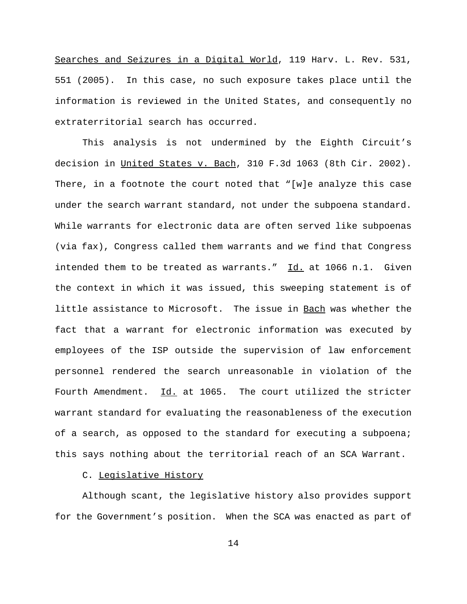Searches and Seizures in a Digital World, 119 Harv. L. Rev. 531, 551 (2005). In this case, no such exposure takes place until the information is reviewed in the United States, and consequently no extraterritorial search has occurred.

This analysis is not undermined by the Eighth Circuit's decision in United States v. Bach, 310 F.3d 1063 (8th Cir. 2002). There, in a footnote the court noted that "[w]e analyze this case under the search warrant standard, not under the subpoena standard. While warrants for electronic data are often served like subpoenas (via fax), Congress called them warrants and we find that Congress intended them to be treated as warrants."  $\underline{Id.}$  at 1066 n.1. Given the context in which it was issued, this sweeping statement is of little assistance to Microsoft. The issue in Bach was whether the fact that a warrant for electronic information was executed by employees of the ISP outside the supervision of law enforcement personnel rendered the search unreasonable in violation of the Fourth Amendment. Id. at 1065. The court utilized the stricter warrant standard for evaluating the reasonableness of the execution of a search, as opposed to the standard for executing a subpoena; this says nothing about the territorial reach of an SCA Warrant.

## C. Legislative History

Although scant, the legislative history also provides support for the Government's position. When the SCA was enacted as part of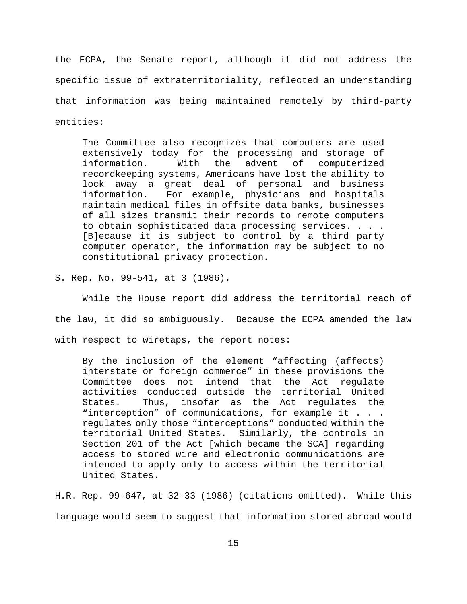the ECPA, the Senate report, although it did not address the specific issue of extraterritoriality, reflected an understanding that information was being maintained remotely by third-party entities:

The Committee also recognizes that computers are used extensively today for the processing and storage of information. With the advent of computerized recordkeeping systems, Americans have lost the ability to lock away a great deal of personal and business information. For example, physicians and hospitals maintain medical files in offsite data banks, businesses of all sizes transmit their records to remote computers to obtain sophisticated data processing services. . . . [B]ecause it is subject to control by a third party computer operator, the information may be subject to no constitutional privacy protection.

S. Rep. No. 99-541, at 3 (1986).

While the House report did address the territorial reach of the law, it did so ambiguously. Because the ECPA amended the law with respect to wiretaps, the report notes:

By the inclusion of the element "affecting (affects) interstate or foreign commerce" in these provisions the Committee does not intend that the Act regulate activities conducted outside the territorial United States. Thus, insofar as the Act regulates the "interception" of communications, for example it . . . regulates only those "interceptions" conducted within the territorial United States. Similarly, the controls in Section 201 of the Act [which became the SCA] regarding access to stored wire and electronic communications are intended to apply only to access within the territorial United States.

H.R. Rep. 99-647, at 32-33 (1986) (citations omitted). While this language would seem to suggest that information stored abroad would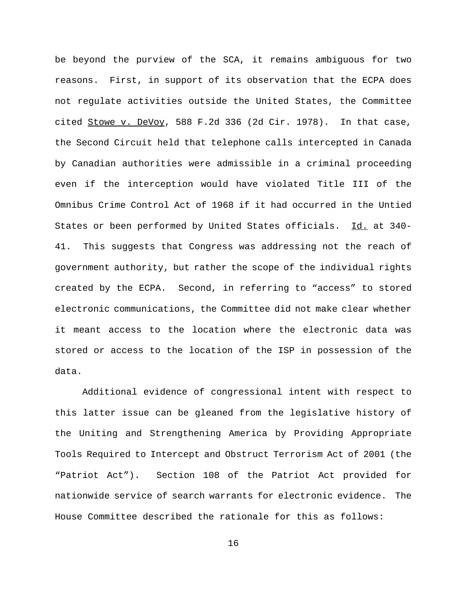be beyond the purview of the SCA, it remains ambiguous for two reasons. First, in support of its observation that the ECPA does not regulate activities outside the United States, the Committee cited Stowe v. DeVoy, 588 F.2d 336 (2d Cir. 1978). In that case, the Second Circuit held that telephone calls intercepted in Canada by Canadian authorities were admissible in a criminal proceeding even if the interception would have violated Title III of the Omnibus Crime Control Act of 1968 if it had occurred in the Untied States or been performed by United States officials. Id. at 340-41. This suggests that Congress was addressing not the reach of government authority, but rather the scope of the individual rights created by the ECPA. Second, in referring to "access" to stored electronic communications, the Committee did not make clear whether it meant access to the location where the electronic data was stored or access to the location of the ISP in possession of the data.

Additional evidence of congressional intent with respect to this latter issue can be gleaned from the legislative history of the Uniting and Strengthening America by Providing Appropriate Tools Required to Intercept and Obstruct Terrorism Act of 2001 (the "Patriot Act"). Section 108 of the Patriot Act provided for nationwide service of search warrants for electronic evidence. The House Committee described the rationale for this as follows: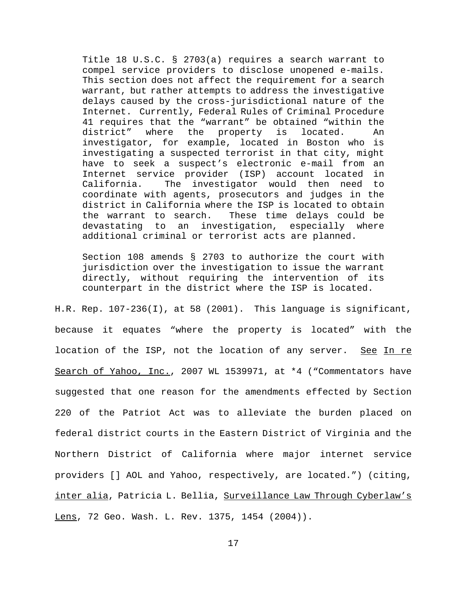Title 18 U.S.C. § 2703(a) requires a search warrant to compel service providers to disclose unopened e-mails. This section does not affect the requirement for a search warrant, but rather attempts to address the investigative delays caused by the cross-jurisdictional nature of the Internet. Currently, Federal Rules of Criminal Procedure 41 requires that the "warrant" be obtained "within the district" where the property is located. An investigator, for example, located in Boston who is investigating a suspected terrorist in that city, might have to seek a suspect's electronic e-mail from an Internet service provider (ISP) account located in California. The investigator would then need to coordinate with agents, prosecutors and judges in the district in California where the ISP is located to obtain the warrant to search. These time delays could be devastating to an investigation, especially where additional criminal or terrorist acts are planned.

Section 108 amends § 2703 to authorize the court with jurisdiction over the investigation to issue the warrant directly, without requiring the intervention of its counterpart in the district where the ISP is located.

H.R. Rep.  $107-236(1)$ , at 58 (2001). This language is significant, because it equates "where the property is located" with the location of the ISP, not the location of any server. See In re Search of Yahoo, Inc., 2007 WL 1539971, at \*4 ("Commentators have suggested that one reason for the amendments effected by Section 220 of the Patriot Act was to alleviate the burden placed on federal district courts in the Eastern District of Virginia and the Northern District of California where major internet service providers [] AOL and Yahoo, respectively, are located.") (citing, inter alia, Patricia L. Bellia, Surveillance Law Through Cyberlaw's Lens, 72 Geo. Wash. L. Rev. 1375, 1454 (2004)).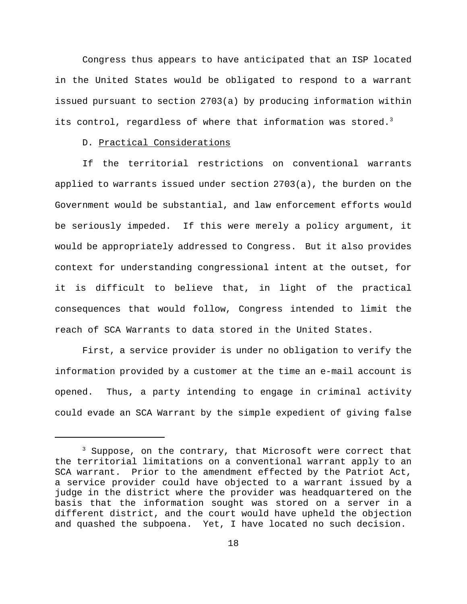Congress thus appears to have anticipated that an ISP located in the United States would be obligated to respond to a warrant issued pursuant to section 2703(a) by producing information within its control, regardless of where that information was stored.<sup>3</sup>

# D. Practical Considerations

If the territorial restrictions on conventional warrants applied to warrants issued under section 2703(a), the burden on the Government would be substantial, and law enforcement efforts would be seriously impeded. If this were merely a policy argument, it would be appropriately addressed to Congress. But it also provides context for understanding congressional intent at the outset, for it is difficult to believe that, in light of the practical consequences that would follow, Congress intended to limit the reach of SCA Warrants to data stored in the United States.

First, a service provider is under no obligation to verify the information provided by a customer at the time an e-mail account is opened. Thus, a party intending to engage in criminal activity could evade an SCA Warrant by the simple expedient of giving false

<sup>&</sup>lt;sup>3</sup> Suppose, on the contrary, that Microsoft were correct that the territorial limitations on a conventional warrant apply to an SCA warrant. Prior to the amendment effected by the Patriot Act, a service provider could have objected to a warrant issued by a judge in the district where the provider was headquartered on the basis that the information sought was stored on a server in a different district, and the court would have upheld the objection and quashed the subpoena. Yet, I have located no such decision.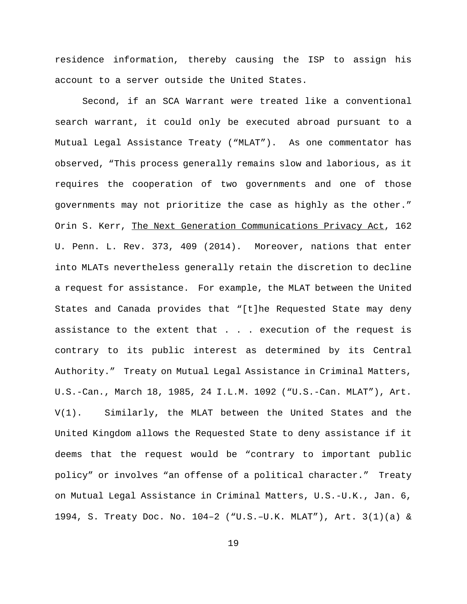residence information, thereby causing the ISP to assign his account to a server outside the United States.

Second, if an SCA Warrant were treated like a conventional search warrant, it could only be executed abroad pursuant to a Mutual Legal Assistance Treaty ("MLAT"). As one commentator has observed, "This process generally remains slow and laborious, as it requires the cooperation of two governments and one of those governments may not prioritize the case as highly as the other." Orin S. Kerr, The Next Generation Communications Privacy Act, 162 U. Penn. L. Rev. 373, 409 (2014). Moreover, nations that enter into MLATs nevertheless generally retain the discretion to decline a request for assistance. For example, the MLAT between the United States and Canada provides that "[t]he Requested State may deny assistance to the extent that . . . execution of the request is contrary to its public interest as determined by its Central Authority." Treaty on Mutual Legal Assistance in Criminal Matters, U.S.-Can., March 18, 1985, 24 I.L.M. 1092 ("U.S.-Can. MLAT"), Art. V(1). Similarly, the MLAT between the United States and the United Kingdom allows the Requested State to deny assistance if it deems that the request would be "contrary to important public policy" or involves "an offense of a political character." Treaty on Mutual Legal Assistance in Criminal Matters, U.S.-U.K., Jan. 6, 1994, S. Treaty Doc. No. 104–2 ("U.S.–U.K. MLAT"), Art. 3(1)(a) &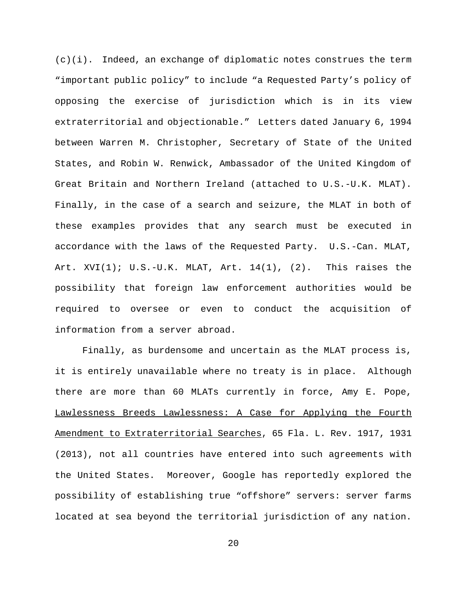$(c)(i)$ . Indeed, an exchange of diplomatic notes construes the term "important public policy" to include "a Requested Party's policy of opposing the exercise of jurisdiction which is in its view extraterritorial and objectionable." Letters dated January 6, 1994 between Warren M. Christopher, Secretary of State of the United States, and Robin W. Renwick, Ambassador of the United Kingdom of Great Britain and Northern Ireland (attached to U.S.-U.K. MLAT). Finally, in the case of a search and seizure, the MLAT in both of these examples provides that any search must be executed in accordance with the laws of the Requested Party. U.S.-Can. MLAT, Art.  $XVI(1)$ ;  $U.S.-U.K. MLAT$ ,  $Art. 14(1)$ ,  $(2)$ . This raises the possibility that foreign law enforcement authorities would be required to oversee or even to conduct the acquisition of information from a server abroad.

Finally, as burdensome and uncertain as the MLAT process is, it is entirely unavailable where no treaty is in place. Although there are more than 60 MLATs currently in force, Amy E. Pope, Lawlessness Breeds Lawlessness: A Case for Applying the Fourth Amendment to Extraterritorial Searches, 65 Fla. L. Rev. 1917, 1931 (2013), not all countries have entered into such agreements with the United States. Moreover, Google has reportedly explored the possibility of establishing true "offshore" servers: server farms located at sea beyond the territorial jurisdiction of any nation.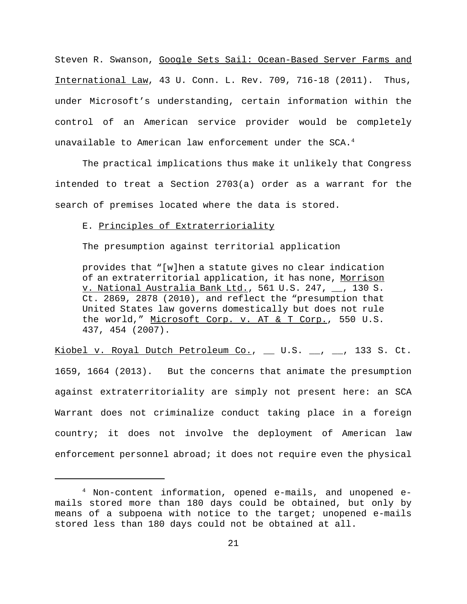Steven R. Swanson, Google Sets Sail: Ocean-Based Server Farms and International Law, 43 U. Conn. L. Rev. 709, 716-18 (2011). Thus, under Microsoft's understanding, certain information within the control of an American service provider would be completely unavailable to American law enforcement under the SCA.<sup>4</sup>

The practical implications thus make it unlikely that Congress intended to treat a Section 2703(a) order as a warrant for the search of premises located where the data is stored.

# E. Principles of Extraterrioriality

The presumption against territorial application

provides that "[w]hen a statute gives no clear indication of an extraterritorial application, it has none, Morrison v. National Australia Bank Ltd., 561 U.S. 247, \_\_, 130 S. Ct. 2869, 2878 (2010), and reflect the "presumption that United States law governs domestically but does not rule the world," Microsoft Corp. v. AT & T Corp., 550 U.S. 437, 454 (2007).

Kiobel v. Royal Dutch Petroleum Co., \_\_ U.S. \_\_, \_\_, 133 S. Ct. 1659, 1664 (2013). But the concerns that animate the presumption against extraterritoriality are simply not present here: an SCA Warrant does not criminalize conduct taking place in a foreign country; it does not involve the deployment of American law enforcement personnel abroad; it does not require even the physical

<sup>4</sup> Non-content information, opened e-mails, and unopened emails stored more than 180 days could be obtained, but only by means of a subpoena with notice to the target; unopened e-mails stored less than 180 days could not be obtained at all.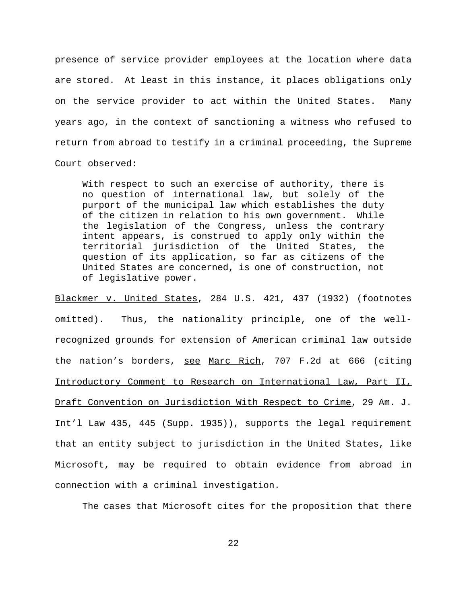presence of service provider employees at the location where data are stored. At least in this instance, it places obligations only on the service provider to act within the United States. Many years ago, in the context of sanctioning a witness who refused to return from abroad to testify in a criminal proceeding, the Supreme Court observed:

With respect to such an exercise of authority, there is no question of international law, but solely of the purport of the municipal law which establishes the duty of the citizen in relation to his own government. While the legislation of the Congress, unless the contrary intent appears, is construed to apply only within the territorial jurisdiction of the United States, the question of its application, so far as citizens of the United States are concerned, is one of construction, not of legislative power.

Blackmer v. United States, 284 U.S. 421, 437 (1932) (footnotes omitted). Thus, the nationality principle, one of the wellrecognized grounds for extension of American criminal law outside the nation's borders, see Marc Rich, 707 F.2d at 666 (citing Introductory Comment to Research on International Law, Part II, Draft Convention on Jurisdiction With Respect to Crime, 29 Am. J. Int'l Law 435, 445 (Supp. 1935)), supports the legal requirement that an entity subject to jurisdiction in the United States, like Microsoft, may be required to obtain evidence from abroad in connection with a criminal investigation.

The cases that Microsoft cites for the proposition that there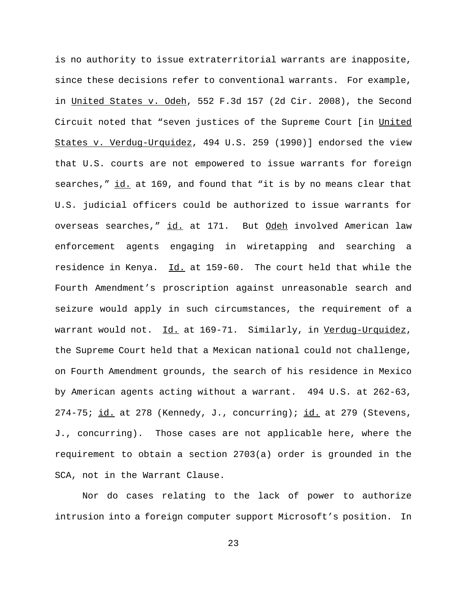is no authority to issue extraterritorial warrants are inapposite, since these decisions refer to conventional warrants. For example, in United States v. Odeh, 552 F.3d 157 (2d Cir. 2008), the Second Circuit noted that "seven justices of the Supreme Court [in United States v. Verdug-Urquidez, 494 U.S. 259 (1990)] endorsed the view that U.S. courts are not empowered to issue warrants for foreign searches," id. at 169, and found that "it is by no means clear that U.S. judicial officers could be authorized to issue warrants for overseas searches," id. at 171. But Odeh involved American law enforcement agents engaging in wiretapping and searching a residence in Kenya. Id. at 159-60. The court held that while the Fourth Amendment's proscription against unreasonable search and seizure would apply in such circumstances, the requirement of a warrant would not. Id. at 169-71. Similarly, in Verdug-Urquidez, the Supreme Court held that a Mexican national could not challenge, on Fourth Amendment grounds, the search of his residence in Mexico by American agents acting without a warrant. 494 U.S. at 262-63, 274-75;  $id.$  at 278 (Kennedy, J., concurring);  $id.$  at 279 (Stevens, J., concurring). Those cases are not applicable here, where the requirement to obtain a section 2703(a) order is grounded in the SCA, not in the Warrant Clause.

Nor do cases relating to the lack of power to authorize intrusion into a foreign computer support Microsoft's position. In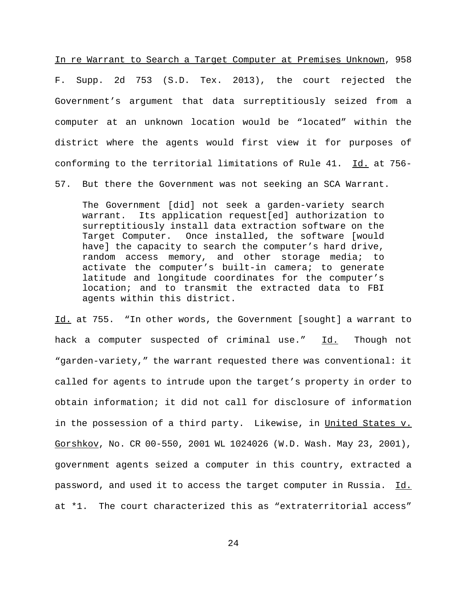In re Warrant to Search a Target Computer at Premises Unknown, 958 F. Supp. 2d 753 (S.D. Tex. 2013), the court rejected the Government's argument that data surreptitiously seized from a computer at an unknown location would be "located" within the district where the agents would first view it for purposes of conforming to the territorial limitations of Rule 41. Id. at 756-

57. But there the Government was not seeking an SCA Warrant.

The Government [did] not seek a garden-variety search warrant. Its application request[ed] authorization to surreptitiously install data extraction software on the Target Computer. Once installed, the software [would have] the capacity to search the computer's hard drive, random access memory, and other storage media; to activate the computer's built-in camera; to generate latitude and longitude coordinates for the computer's location; and to transmit the extracted data to FBI agents within this district.

Id. at 755. "In other words, the Government [sought] a warrant to hack a computer suspected of criminal use." Id. Though not "garden-variety," the warrant requested there was conventional: it called for agents to intrude upon the target's property in order to obtain information; it did not call for disclosure of information in the possession of a third party. Likewise, in United States v. Gorshkov, No. CR 00-550, 2001 WL 1024026 (W.D. Wash. May 23, 2001), government agents seized a computer in this country, extracted a password, and used it to access the target computer in Russia. Id. at \*1. The court characterized this as "extraterritorial access"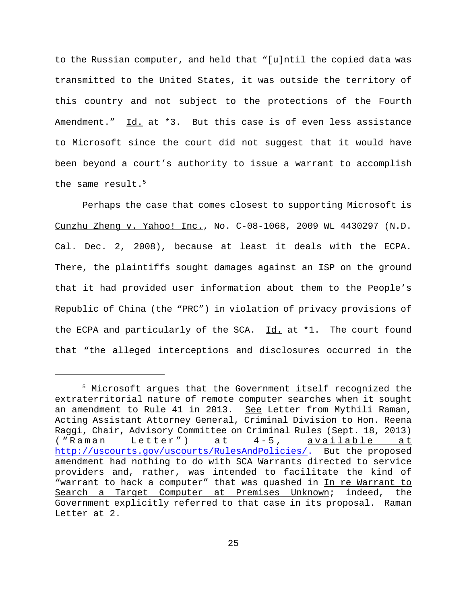to the Russian computer, and held that "[u]ntil the copied data was transmitted to the United States, it was outside the territory of this country and not subject to the protections of the Fourth Amendment." Id. at \*3. But this case is of even less assistance to Microsoft since the court did not suggest that it would have been beyond a court's authority to issue a warrant to accomplish the same result.<sup>5</sup>

Perhaps the case that comes closest to supporting Microsoft is Cunzhu Zheng v. Yahoo! Inc., No. C-08-1068, 2009 WL 4430297 (N.D. Cal. Dec. 2, 2008), because at least it deals with the ECPA. There, the plaintiffs sought damages against an ISP on the ground that it had provided user information about them to the People's Republic of China (the "PRC") in violation of privacy provisions of the ECPA and particularly of the SCA. Id. at \*1. The court found that "the alleged interceptions and disclosures occurred in the

<sup>&</sup>lt;sup>5</sup> Microsoft argues that the Government itself recognized the extraterritorial nature of remote computer searches when it sought an amendment to Rule 41 in 2013. See Letter from Mythili Raman, Acting Assistant Attorney General, Criminal Division to Hon. Reena Raggi, Chair, Advisory Committee on Criminal Rules (Sept. 18, 2013) ("Raman Letter") at 4-5, available at http://uscourts.gov/uscourts/RulesAndPolicies/. But the proposed amendment had nothing to do with SCA Warrants directed to service providers and, rather, was intended to facilitate the kind of "warrant to hack a computer" that was quashed in In re Warrant to Search a Target Computer at Premises Unknown; indeed, the Government explicitly referred to that case in its proposal. Raman Letter at 2.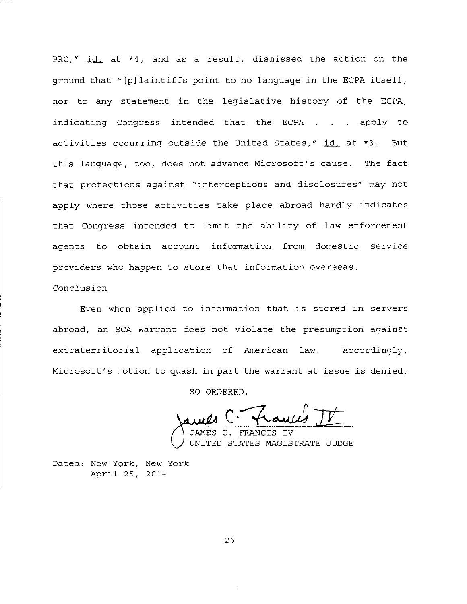PRC,"  $id.$  at  $*4$ , and as a result, dismissed the action on the ground that "[p]laintiffs point to no language in the ECPA itself, nor to any statement in the legislative history of the ECPA, indicating Congress intended that the ECPA . . . apply to activities occurring outside the United States,"  $id_1$  at  $*3$ . But this language, too, does not advance Microsoft's cause. The fact that protections against "interceptions and disclosures" may not apply where those activities take place abroad hardly indicates that Congress intended to limit the ability of law enforcement agents to obtain account information from domestic service providers who happen to store that information overseas.

#### Conclusion

Even when applied to information that is stored in servers abroad, an SCA Warrant does not violate the presumption against extraterritorial application of American law. Accordingly, Microsoft's motion to quash in part the warrant at issue is denied.

SO ORDERED.

 $C$ - frances  $J\mathcal{I}$ 

FRANCIS IV UNITED STATES MAGISTRATE JUDGE

Dated: New York, New York April 25, 2014